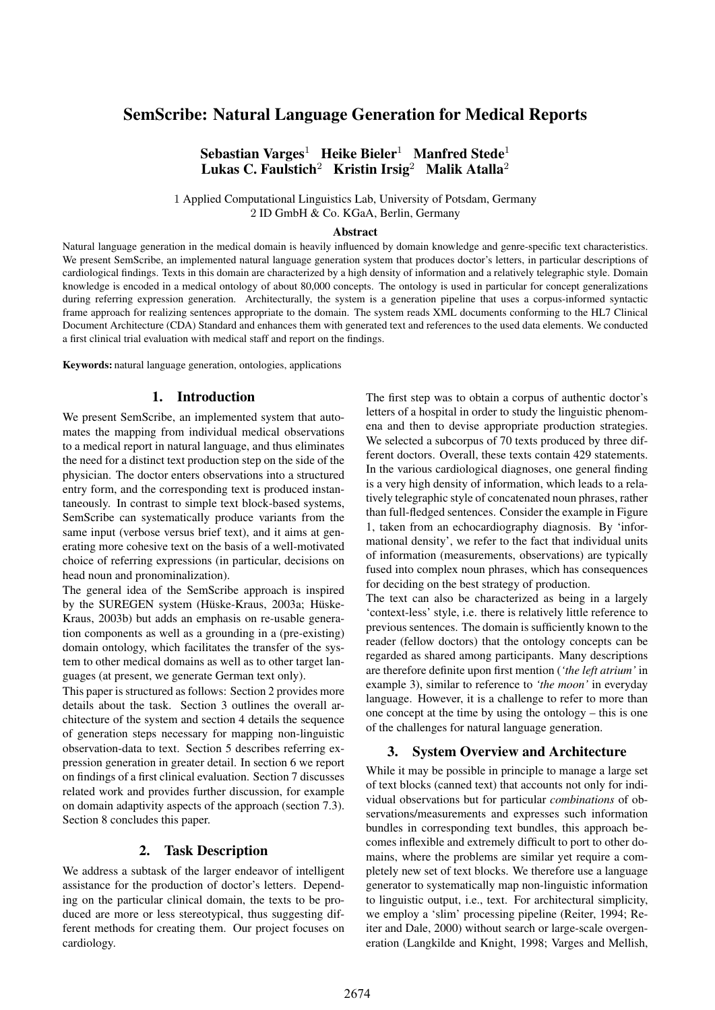# SemScribe: Natural Language Generation for Medical Reports

Sebastian Varges<sup>1</sup> Heike Bieler<sup>1</sup> Manfred Stede<sup>1</sup> Lukas C. Faulstich<sup>2</sup> Kristin Irsig<sup>2</sup> Malik Atalla<sup>2</sup>

1 Applied Computational Linguistics Lab, University of Potsdam, Germany 2 ID GmbH & Co. KGaA, Berlin, Germany

### Abstract

Natural language generation in the medical domain is heavily influenced by domain knowledge and genre-specific text characteristics. We present SemScribe, an implemented natural language generation system that produces doctor's letters, in particular descriptions of cardiological findings. Texts in this domain are characterized by a high density of information and a relatively telegraphic style. Domain knowledge is encoded in a medical ontology of about 80,000 concepts. The ontology is used in particular for concept generalizations during referring expression generation. Architecturally, the system is a generation pipeline that uses a corpus-informed syntactic frame approach for realizing sentences appropriate to the domain. The system reads XML documents conforming to the HL7 Clinical Document Architecture (CDA) Standard and enhances them with generated text and references to the used data elements. We conducted a first clinical trial evaluation with medical staff and report on the findings.

Keywords: natural language generation, ontologies, applications

## 1. Introduction

We present SemScribe, an implemented system that automates the mapping from individual medical observations to a medical report in natural language, and thus eliminates the need for a distinct text production step on the side of the physician. The doctor enters observations into a structured entry form, and the corresponding text is produced instantaneously. In contrast to simple text block-based systems, SemScribe can systematically produce variants from the same input (verbose versus brief text), and it aims at generating more cohesive text on the basis of a well-motivated choice of referring expressions (in particular, decisions on head noun and pronominalization).

The general idea of the SemScribe approach is inspired by the SUREGEN system (Hüske-Kraus, 2003a; Hüske-Kraus, 2003b) but adds an emphasis on re-usable generation components as well as a grounding in a (pre-existing) domain ontology, which facilitates the transfer of the system to other medical domains as well as to other target languages (at present, we generate German text only).

This paper is structured as follows: Section 2 provides more details about the task. Section 3 outlines the overall architecture of the system and section 4 details the sequence of generation steps necessary for mapping non-linguistic observation-data to text. Section 5 describes referring expression generation in greater detail. In section 6 we report on findings of a first clinical evaluation. Section 7 discusses related work and provides further discussion, for example on domain adaptivity aspects of the approach (section 7.3). Section 8 concludes this paper.

### 2. Task Description

We address a subtask of the larger endeavor of intelligent assistance for the production of doctor's letters. Depending on the particular clinical domain, the texts to be produced are more or less stereotypical, thus suggesting different methods for creating them. Our project focuses on cardiology.

The first step was to obtain a corpus of authentic doctor's letters of a hospital in order to study the linguistic phenomena and then to devise appropriate production strategies. We selected a subcorpus of 70 texts produced by three different doctors. Overall, these texts contain 429 statements. In the various cardiological diagnoses, one general finding is a very high density of information, which leads to a relatively telegraphic style of concatenated noun phrases, rather than full-fledged sentences. Consider the example in Figure 1, taken from an echocardiography diagnosis. By 'informational density', we refer to the fact that individual units of information (measurements, observations) are typically fused into complex noun phrases, which has consequences for deciding on the best strategy of production.

The text can also be characterized as being in a largely 'context-less' style, i.e. there is relatively little reference to previous sentences. The domain is sufficiently known to the reader (fellow doctors) that the ontology concepts can be regarded as shared among participants. Many descriptions are therefore definite upon first mention (*'the left atrium'* in example 3), similar to reference to *'the moon'* in everyday language. However, it is a challenge to refer to more than one concept at the time by using the ontology – this is one of the challenges for natural language generation.

#### 3. System Overview and Architecture

While it may be possible in principle to manage a large set of text blocks (canned text) that accounts not only for individual observations but for particular *combinations* of observations/measurements and expresses such information bundles in corresponding text bundles, this approach becomes inflexible and extremely difficult to port to other domains, where the problems are similar yet require a completely new set of text blocks. We therefore use a language generator to systematically map non-linguistic information to linguistic output, i.e., text. For architectural simplicity, we employ a 'slim' processing pipeline (Reiter, 1994; Reiter and Dale, 2000) without search or large-scale overgeneration (Langkilde and Knight, 1998; Varges and Mellish,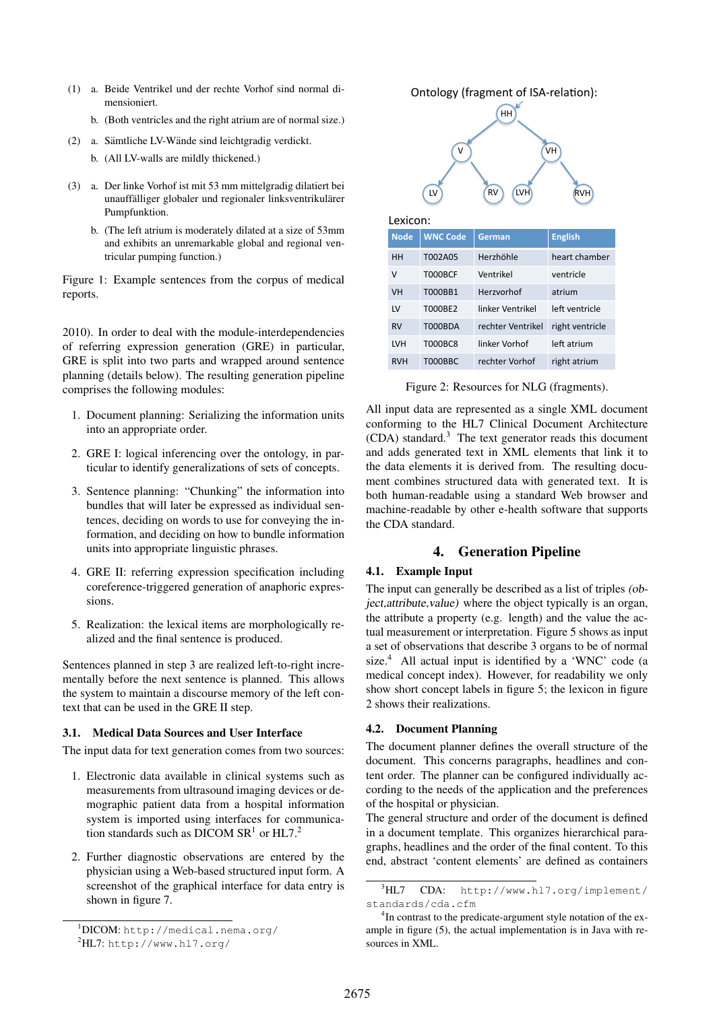- (1) a. Beide Ventrikel und der rechte Vorhof sind normal dimensioniert.
	- b. (Both ventricles and the right atrium are of normal size.)
- $(2)$  a. Sämtliche LV-Wände sind leichtgradig verdickt.
	- b. (All LV-walls are mildly thickened.)
- (3) a. Der linke Vorhof ist mit 53 mm mittelgradig dilatiert bei unauffälliger globaler und regionaler linksventrikulärer Pumpfunktion.
	- b. (The left atrium is moderately dilated at a size of 53mm and exhibits an unremarkable global and regional ventricular pumping function.)

Figure 1: Example sentences from the corpus of medical reports.

2010). In order to deal with the module-interdependencies of referring expression generation (GRE) in particular, GRE is split into two parts and wrapped around sentence planning (details below). The resulting generation pipeline comprises the following modules:

- 1. Document planning: Serializing the information units into an appropriate order.
- 2. GRE I: logical inferencing over the ontology, in particular to identify generalizations of sets of concepts.
- 3. Sentence planning: "Chunking" the information into bundles that will later be expressed as individual sentences, deciding on words to use for conveying the information, and deciding on how to bundle information units into appropriate linguistic phrases.
- 4. GRE II: referring expression specification including coreference-triggered generation of anaphoric expressions.
- 5. Realization: the lexical items are morphologically realized and the final sentence is produced.

Sentences planned in step 3 are realized left-to-right incrementally before the next sentence is planned. This allows the system to maintain a discourse memory of the left context that can be used in the GRE II step.

### 3.1. Medical Data Sources and User Interface

The input data for text generation comes from two sources:

- 1. Electronic data available in clinical systems such as measurements from ultrasound imaging devices or demographic patient data from a hospital information system is imported using interfaces for communication standards such as DICOM SR<sup>1</sup> or HL7.<sup>2</sup>
- 2. Further diagnostic observations are entered by the physician using a Web-based structured input form. A screenshot of the graphical interface for data entry is shown in figure 7.



Figure 2: Resources for NLG (fragments).

All input data are represented as a single XML document conforming to the HL7 Clinical Document Architecture (CDA) standard.<sup>3</sup> The text generator reads this document and adds generated text in XML elements that link it to the data elements it is derived from. The resulting document combines structured data with generated text. It is both human-readable using a standard Web browser and machine-readable by other e-health software that supports the CDA standard.

## 4. Generation Pipeline

### 4.1. Example Input

The input can generally be described as a list of triples (object,attribute,value) where the object typically is an organ, the attribute a property (e.g. length) and the value the actual measurement or interpretation. Figure 5 shows as input a set of observations that describe 3 organs to be of normal size. $4$  All actual input is identified by a 'WNC' code (a medical concept index). However, for readability we only show short concept labels in figure 5; the lexicon in figure 2 shows their realizations.

### 4.2. Document Planning

The document planner defines the overall structure of the document. This concerns paragraphs, headlines and content order. The planner can be configured individually according to the needs of the application and the preferences of the hospital or physician.

The general structure and order of the document is defined in a document template. This organizes hierarchical paragraphs, headlines and the order of the final content. To this end, abstract 'content elements' are defined as containers

<sup>1</sup>DICOM: http://medical.nema.org/

 ${}^{2}$ HL7: http://www.hl7.org/

<sup>3</sup>HL7 CDA: http://www.hl7.org/implement/ standards/cda.cfm

<sup>&</sup>lt;sup>4</sup>In contrast to the predicate-argument style notation of the example in figure (5), the actual implementation is in Java with resources in XML.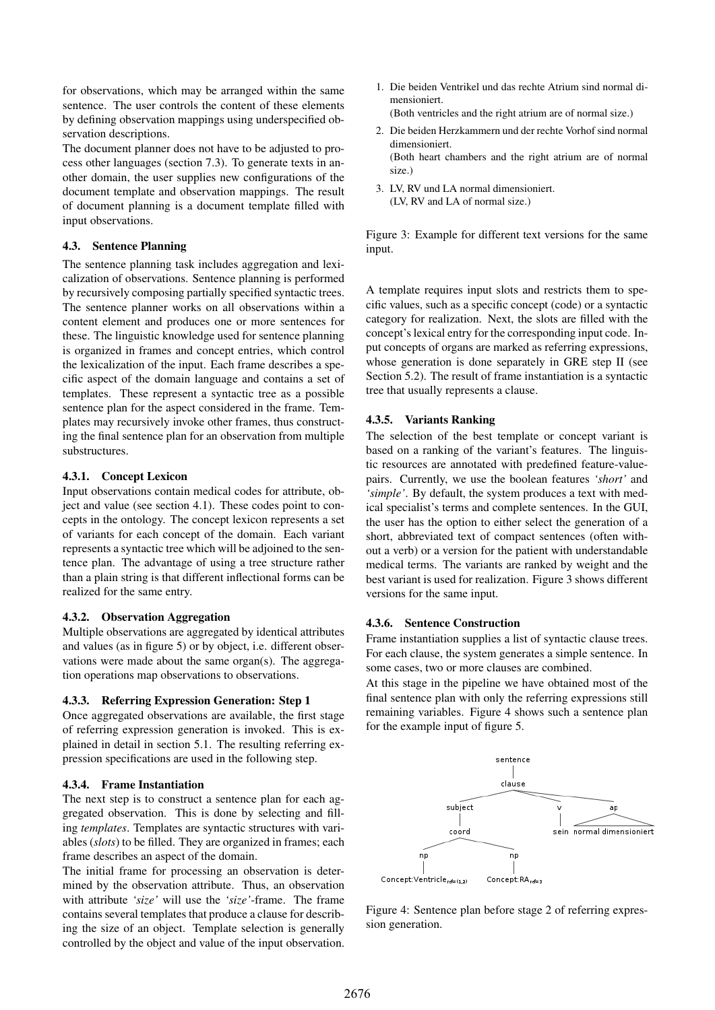for observations, which may be arranged within the same sentence. The user controls the content of these elements by defining observation mappings using underspecified observation descriptions.

The document planner does not have to be adjusted to process other languages (section 7.3). To generate texts in another domain, the user supplies new configurations of the document template and observation mappings. The result of document planning is a document template filled with input observations.

### 4.3. Sentence Planning

The sentence planning task includes aggregation and lexicalization of observations. Sentence planning is performed by recursively composing partially specified syntactic trees. The sentence planner works on all observations within a content element and produces one or more sentences for these. The linguistic knowledge used for sentence planning is organized in frames and concept entries, which control the lexicalization of the input. Each frame describes a specific aspect of the domain language and contains a set of templates. These represent a syntactic tree as a possible sentence plan for the aspect considered in the frame. Templates may recursively invoke other frames, thus constructing the final sentence plan for an observation from multiple substructures.

### 4.3.1. Concept Lexicon

Input observations contain medical codes for attribute, object and value (see section 4.1). These codes point to concepts in the ontology. The concept lexicon represents a set of variants for each concept of the domain. Each variant represents a syntactic tree which will be adjoined to the sentence plan. The advantage of using a tree structure rather than a plain string is that different inflectional forms can be realized for the same entry.

#### 4.3.2. Observation Aggregation

Multiple observations are aggregated by identical attributes and values (as in figure 5) or by object, i.e. different observations were made about the same organ(s). The aggregation operations map observations to observations.

### 4.3.3. Referring Expression Generation: Step 1

Once aggregated observations are available, the first stage of referring expression generation is invoked. This is explained in detail in section 5.1. The resulting referring expression specifications are used in the following step.

#### 4.3.4. Frame Instantiation

The next step is to construct a sentence plan for each aggregated observation. This is done by selecting and filling *templates*. Templates are syntactic structures with variables (*slots*) to be filled. They are organized in frames; each frame describes an aspect of the domain.

The initial frame for processing an observation is determined by the observation attribute. Thus, an observation with attribute *'size'* will use the *'size'*-frame. The frame contains several templates that produce a clause for describing the size of an object. Template selection is generally controlled by the object and value of the input observation.

- 1. Die beiden Ventrikel und das rechte Atrium sind normal dimensioniert.
	- (Both ventricles and the right atrium are of normal size.)
- 2. Die beiden Herzkammern und der rechte Vorhof sind normal dimensioniert. (Both heart chambers and the right atrium are of normal
- 3. LV, RV und LA normal dimensioniert. (LV, RV and LA of normal size.)

size.)

Figure 3: Example for different text versions for the same input.

A template requires input slots and restricts them to specific values, such as a specific concept (code) or a syntactic category for realization. Next, the slots are filled with the concept's lexical entry for the corresponding input code. Input concepts of organs are marked as referring expressions, whose generation is done separately in GRE step II (see Section 5.2). The result of frame instantiation is a syntactic tree that usually represents a clause.

### 4.3.5. Variants Ranking

The selection of the best template or concept variant is based on a ranking of the variant's features. The linguistic resources are annotated with predefined feature-valuepairs. Currently, we use the boolean features *'short'* and *'simple'*. By default, the system produces a text with medical specialist's terms and complete sentences. In the GUI, the user has the option to either select the generation of a short, abbreviated text of compact sentences (often without a verb) or a version for the patient with understandable medical terms. The variants are ranked by weight and the best variant is used for realization. Figure 3 shows different versions for the same input.

### 4.3.6. Sentence Construction

Frame instantiation supplies a list of syntactic clause trees. For each clause, the system generates a simple sentence. In some cases, two or more clauses are combined.

At this stage in the pipeline we have obtained most of the final sentence plan with only the referring expressions still remaining variables. Figure 4 shows such a sentence plan for the example input of figure 5.



Figure 4: Sentence plan before stage 2 of referring expression generation.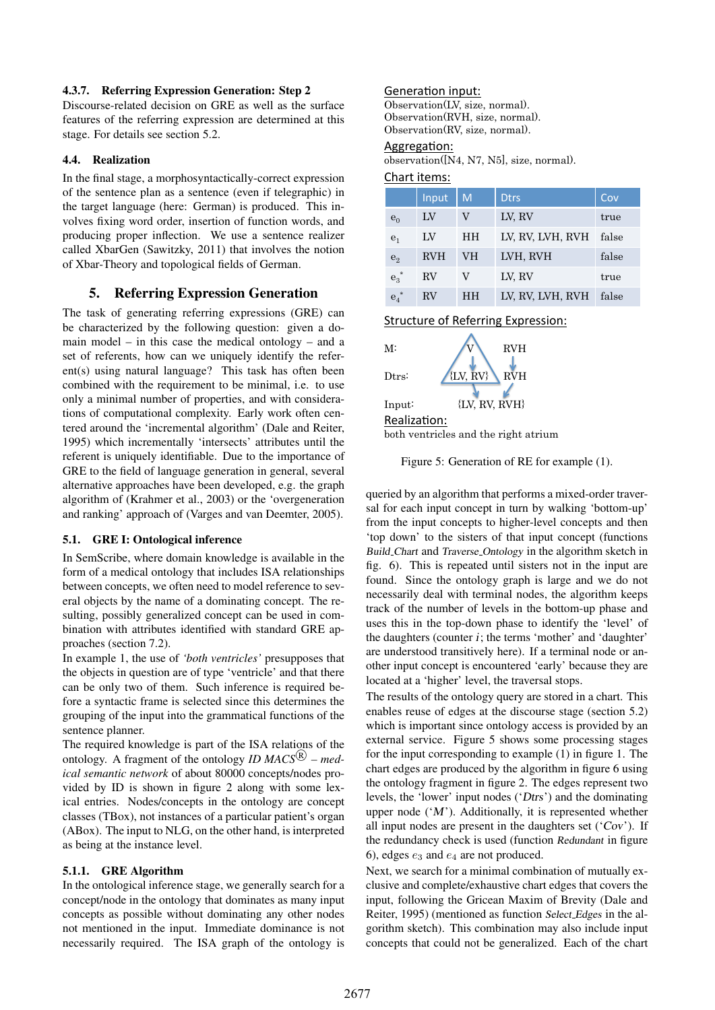## 4.3.7. Referring Expression Generation: Step 2

Discourse-related decision on GRE as well as the surface features of the referring expression are determined at this stage. For details see section 5.2.

### 4.4. Realization

In the final stage, a morphosyntactically-correct expression of the sentence plan as a sentence (even if telegraphic) in the target language (here: German) is produced. This involves fixing word order, insertion of function words, and producing proper inflection. We use a sentence realizer called XbarGen (Sawitzky, 2011) that involves the notion of Xbar-Theory and topological fields of German.

## 5. Referring Expression Generation

The task of generating referring expressions (GRE) can be characterized by the following question: given a domain model – in this case the medical ontology – and a set of referents, how can we uniquely identify the referent(s) using natural language? This task has often been combined with the requirement to be minimal, i.e. to use only a minimal number of properties, and with considerations of computational complexity. Early work often centered around the 'incremental algorithm' (Dale and Reiter, 1995) which incrementally 'intersects' attributes until the referent is uniquely identifiable. Due to the importance of GRE to the field of language generation in general, several alternative approaches have been developed, e.g. the graph algorithm of (Krahmer et al., 2003) or the 'overgeneration and ranking' approach of (Varges and van Deemter, 2005).

#### 5.1. GRE I: Ontological inference

In SemScribe, where domain knowledge is available in the form of a medical ontology that includes ISA relationships between concepts, we often need to model reference to several objects by the name of a dominating concept. The resulting, possibly generalized concept can be used in combination with attributes identified with standard GRE approaches (section 7.2).

In example 1, the use of *'both ventricles'* presupposes that the objects in question are of type 'ventricle' and that there can be only two of them. Such inference is required before a syntactic frame is selected since this determines the grouping of the input into the grammatical functions of the sentence planner.

The required knowledge is part of the ISA relations of the ontology. A fragment of the ontology *ID MACS*<sup>®</sup> – med*ical semantic network* of about 80000 concepts/nodes provided by ID is shown in figure 2 along with some lexical entries. Nodes/concepts in the ontology are concept classes (TBox), not instances of a particular patient's organ (ABox). The input to NLG, on the other hand, is interpreted as being at the instance level.

### 5.1.1. GRE Algorithm

In the ontological inference stage, we generally search for a concept/node in the ontology that dominates as many input concepts as possible without dominating any other nodes not mentioned in the input. Immediate dominance is not necessarily required. The ISA graph of the ontology is

## Generation input:

Observation(LV, size, normal). Observation(RVH, size, normal). Observation(RV, size, normal).

#### Aggregation:

observation([N4, N7, N5], size, normal).

## Chart items:

|                | Input      | M         | <b>Dtrs</b>      | Cov   |
|----------------|------------|-----------|------------------|-------|
| $e_0$          | LV         |           | LV, RV           | true  |
| e <sub>1</sub> | LV         | <b>HH</b> | LV, RV, LVH, RVH | false |
| $e_2$          | <b>RVH</b> | VH        | LVH, RVH         | false |
| $e_3^*$        | RV         |           | LV, RV           | true  |
| $e_4$          | RV         | HН        | LV, RV, LVH, RVH | false |

**Structure of Referring Expression:** 



Figure 5: Generation of RE for example (1).

queried by an algorithm that performs a mixed-order traversal for each input concept in turn by walking 'bottom-up' from the input concepts to higher-level concepts and then 'top down' to the sisters of that input concept (functions Build Chart and Traverse Ontology in the algorithm sketch in fig. 6). This is repeated until sisters not in the input are found. Since the ontology graph is large and we do not necessarily deal with terminal nodes, the algorithm keeps track of the number of levels in the bottom-up phase and uses this in the top-down phase to identify the 'level' of the daughters (counter  $i$ ; the terms 'mother' and 'daughter' are understood transitively here). If a terminal node or another input concept is encountered 'early' because they are located at a 'higher' level, the traversal stops.

The results of the ontology query are stored in a chart. This enables reuse of edges at the discourse stage (section 5.2) which is important since ontology access is provided by an external service. Figure 5 shows some processing stages for the input corresponding to example (1) in figure 1. The chart edges are produced by the algorithm in figure 6 using the ontology fragment in figure 2. The edges represent two levels, the 'lower' input nodes ('Dtrs') and the dominating upper node  $(M')$ . Additionally, it is represented whether all input nodes are present in the daughters set  $({\cal C}ov)$ . If the redundancy check is used (function Redundant in figure 6), edges  $e_3$  and  $e_4$  are not produced.

Next, we search for a minimal combination of mutually exclusive and complete/exhaustive chart edges that covers the input, following the Gricean Maxim of Brevity (Dale and Reiter, 1995) (mentioned as function Select Edges in the algorithm sketch). This combination may also include input concepts that could not be generalized. Each of the chart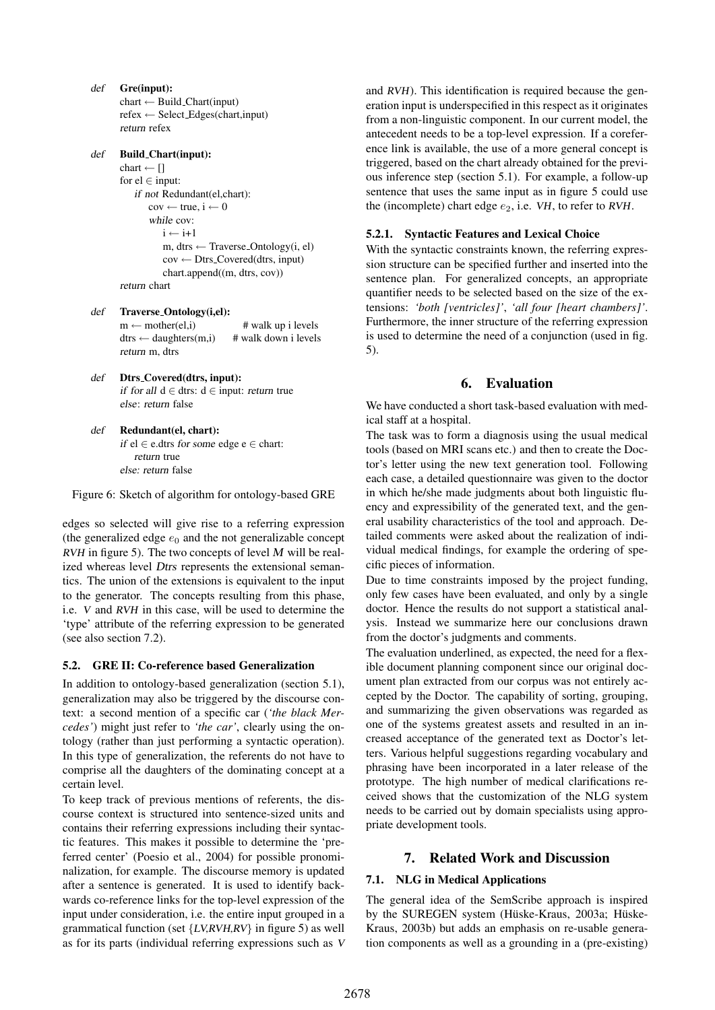- def Gre(input):  $chart \leftarrow Build\_Chart(input)$ refex ← Select Edges(chart,input) return refex def Build Chart(input): chart  $\leftarrow$  [] for  $el \in input$ : if not Redundant(el,chart):  $cov \leftarrow true, i \leftarrow 0$ while cov:  $i \leftarrow i+1$ m, dtrs  $\leftarrow$  Traverse\_Ontology(i, el) cov ← Dtrs Covered(dtrs, input) chart.append((m, dtrs, cov))
	- return chart
- def Traverse Ontology(i,el):  $m \leftarrow mother(el,i)$  # walk up i levels  $d$ trs ← daughters(m,i) # walk down i levels return m, dtrs
- def Dtrs\_Covered(dtrs, input): if for all  $d$  ∈ dtrs:  $d$  ∈ input: return true else: return false
- def Redundant(el, chart): if el ∈ e.dtrs for some edge e ∈ chart: return true else: return false

Figure 6: Sketch of algorithm for ontology-based GRE

edges so selected will give rise to a referring expression (the generalized edge  $e_0$  and the not generalizable concept RVH in figure 5). The two concepts of level  $M$  will be realized whereas level Dtrs represents the extensional semantics. The union of the extensions is equivalent to the input to the generator. The concepts resulting from this phase, i.e. V and RVH in this case, will be used to determine the 'type' attribute of the referring expression to be generated (see also section 7.2).

#### 5.2. GRE II: Co-reference based Generalization

In addition to ontology-based generalization (section 5.1), generalization may also be triggered by the discourse context: a second mention of a specific car (*'the black Mercedes'*) might just refer to *'the car'*, clearly using the ontology (rather than just performing a syntactic operation). In this type of generalization, the referents do not have to comprise all the daughters of the dominating concept at a certain level.

To keep track of previous mentions of referents, the discourse context is structured into sentence-sized units and contains their referring expressions including their syntactic features. This makes it possible to determine the 'preferred center' (Poesio et al., 2004) for possible pronominalization, for example. The discourse memory is updated after a sentence is generated. It is used to identify backwards co-reference links for the top-level expression of the input under consideration, i.e. the entire input grouped in a grammatical function (set {LV,RVH,RV} in figure 5) as well as for its parts (individual referring expressions such as V and RVH). This identification is required because the generation input is underspecified in this respect as it originates from a non-linguistic component. In our current model, the antecedent needs to be a top-level expression. If a coreference link is available, the use of a more general concept is triggered, based on the chart already obtained for the previous inference step (section 5.1). For example, a follow-up sentence that uses the same input as in figure 5 could use the (incomplete) chart edge  $e_2$ , i.e. VH, to refer to RVH.

#### 5.2.1. Syntactic Features and Lexical Choice

With the syntactic constraints known, the referring expression structure can be specified further and inserted into the sentence plan. For generalized concepts, an appropriate quantifier needs to be selected based on the size of the extensions: *'both [ventricles]'*, *'all four [heart chambers]'*. Furthermore, the inner structure of the referring expression is used to determine the need of a conjunction (used in fig. 5).

### 6. Evaluation

We have conducted a short task-based evaluation with medical staff at a hospital.

The task was to form a diagnosis using the usual medical tools (based on MRI scans etc.) and then to create the Doctor's letter using the new text generation tool. Following each case, a detailed questionnaire was given to the doctor in which he/she made judgments about both linguistic fluency and expressibility of the generated text, and the general usability characteristics of the tool and approach. Detailed comments were asked about the realization of individual medical findings, for example the ordering of specific pieces of information.

Due to time constraints imposed by the project funding, only few cases have been evaluated, and only by a single doctor. Hence the results do not support a statistical analysis. Instead we summarize here our conclusions drawn from the doctor's judgments and comments.

The evaluation underlined, as expected, the need for a flexible document planning component since our original document plan extracted from our corpus was not entirely accepted by the Doctor. The capability of sorting, grouping, and summarizing the given observations was regarded as one of the systems greatest assets and resulted in an increased acceptance of the generated text as Doctor's letters. Various helpful suggestions regarding vocabulary and phrasing have been incorporated in a later release of the prototype. The high number of medical clarifications received shows that the customization of the NLG system needs to be carried out by domain specialists using appropriate development tools.

## 7. Related Work and Discussion

#### 7.1. NLG in Medical Applications

The general idea of the SemScribe approach is inspired by the SUREGEN system (Hüske-Kraus, 2003a; Hüske-Kraus, 2003b) but adds an emphasis on re-usable generation components as well as a grounding in a (pre-existing)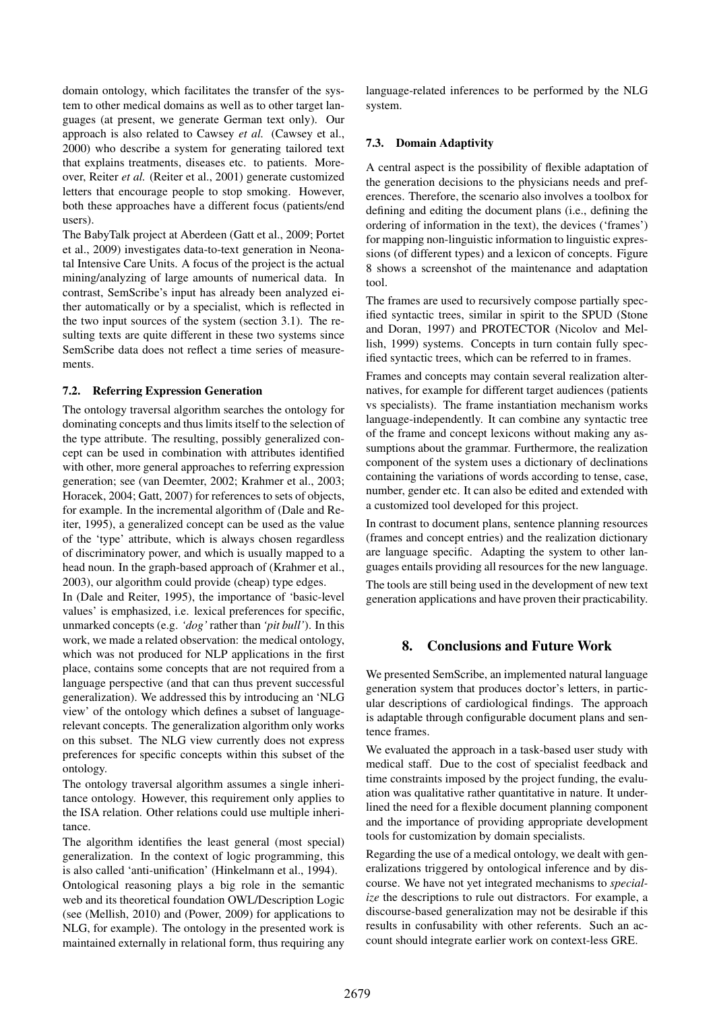domain ontology, which facilitates the transfer of the system to other medical domains as well as to other target languages (at present, we generate German text only). Our approach is also related to Cawsey *et al.* (Cawsey et al., 2000) who describe a system for generating tailored text that explains treatments, diseases etc. to patients. Moreover, Reiter *et al.* (Reiter et al., 2001) generate customized letters that encourage people to stop smoking. However, both these approaches have a different focus (patients/end users).

The BabyTalk project at Aberdeen (Gatt et al., 2009; Portet et al., 2009) investigates data-to-text generation in Neonatal Intensive Care Units. A focus of the project is the actual mining/analyzing of large amounts of numerical data. In contrast, SemScribe's input has already been analyzed either automatically or by a specialist, which is reflected in the two input sources of the system (section 3.1). The resulting texts are quite different in these two systems since SemScribe data does not reflect a time series of measurements.

## 7.2. Referring Expression Generation

The ontology traversal algorithm searches the ontology for dominating concepts and thus limits itself to the selection of the type attribute. The resulting, possibly generalized concept can be used in combination with attributes identified with other, more general approaches to referring expression generation; see (van Deemter, 2002; Krahmer et al., 2003; Horacek, 2004; Gatt, 2007) for references to sets of objects, for example. In the incremental algorithm of (Dale and Reiter, 1995), a generalized concept can be used as the value of the 'type' attribute, which is always chosen regardless of discriminatory power, and which is usually mapped to a head noun. In the graph-based approach of (Krahmer et al., 2003), our algorithm could provide (cheap) type edges.

In (Dale and Reiter, 1995), the importance of 'basic-level values' is emphasized, i.e. lexical preferences for specific, unmarked concepts (e.g. *'dog'* rather than *'pit bull'*). In this work, we made a related observation: the medical ontology, which was not produced for NLP applications in the first place, contains some concepts that are not required from a language perspective (and that can thus prevent successful generalization). We addressed this by introducing an 'NLG view' of the ontology which defines a subset of languagerelevant concepts. The generalization algorithm only works on this subset. The NLG view currently does not express preferences for specific concepts within this subset of the ontology.

The ontology traversal algorithm assumes a single inheritance ontology. However, this requirement only applies to the ISA relation. Other relations could use multiple inheritance.

The algorithm identifies the least general (most special) generalization. In the context of logic programming, this is also called 'anti-unification' (Hinkelmann et al., 1994).

Ontological reasoning plays a big role in the semantic web and its theoretical foundation OWL/Description Logic (see (Mellish, 2010) and (Power, 2009) for applications to NLG, for example). The ontology in the presented work is maintained externally in relational form, thus requiring any language-related inferences to be performed by the NLG system.

## 7.3. Domain Adaptivity

A central aspect is the possibility of flexible adaptation of the generation decisions to the physicians needs and preferences. Therefore, the scenario also involves a toolbox for defining and editing the document plans (i.e., defining the ordering of information in the text), the devices ('frames') for mapping non-linguistic information to linguistic expressions (of different types) and a lexicon of concepts. Figure 8 shows a screenshot of the maintenance and adaptation tool.

The frames are used to recursively compose partially specified syntactic trees, similar in spirit to the SPUD (Stone and Doran, 1997) and PROTECTOR (Nicolov and Mellish, 1999) systems. Concepts in turn contain fully specified syntactic trees, which can be referred to in frames.

Frames and concepts may contain several realization alternatives, for example for different target audiences (patients vs specialists). The frame instantiation mechanism works language-independently. It can combine any syntactic tree of the frame and concept lexicons without making any assumptions about the grammar. Furthermore, the realization component of the system uses a dictionary of declinations containing the variations of words according to tense, case, number, gender etc. It can also be edited and extended with a customized tool developed for this project.

In contrast to document plans, sentence planning resources (frames and concept entries) and the realization dictionary are language specific. Adapting the system to other languages entails providing all resources for the new language. The tools are still being used in the development of new text

generation applications and have proven their practicability.

## 8. Conclusions and Future Work

We presented SemScribe, an implemented natural language generation system that produces doctor's letters, in particular descriptions of cardiological findings. The approach is adaptable through configurable document plans and sentence frames.

We evaluated the approach in a task-based user study with medical staff. Due to the cost of specialist feedback and time constraints imposed by the project funding, the evaluation was qualitative rather quantitative in nature. It underlined the need for a flexible document planning component and the importance of providing appropriate development tools for customization by domain specialists.

Regarding the use of a medical ontology, we dealt with generalizations triggered by ontological inference and by discourse. We have not yet integrated mechanisms to *specialize* the descriptions to rule out distractors. For example, a discourse-based generalization may not be desirable if this results in confusability with other referents. Such an account should integrate earlier work on context-less GRE.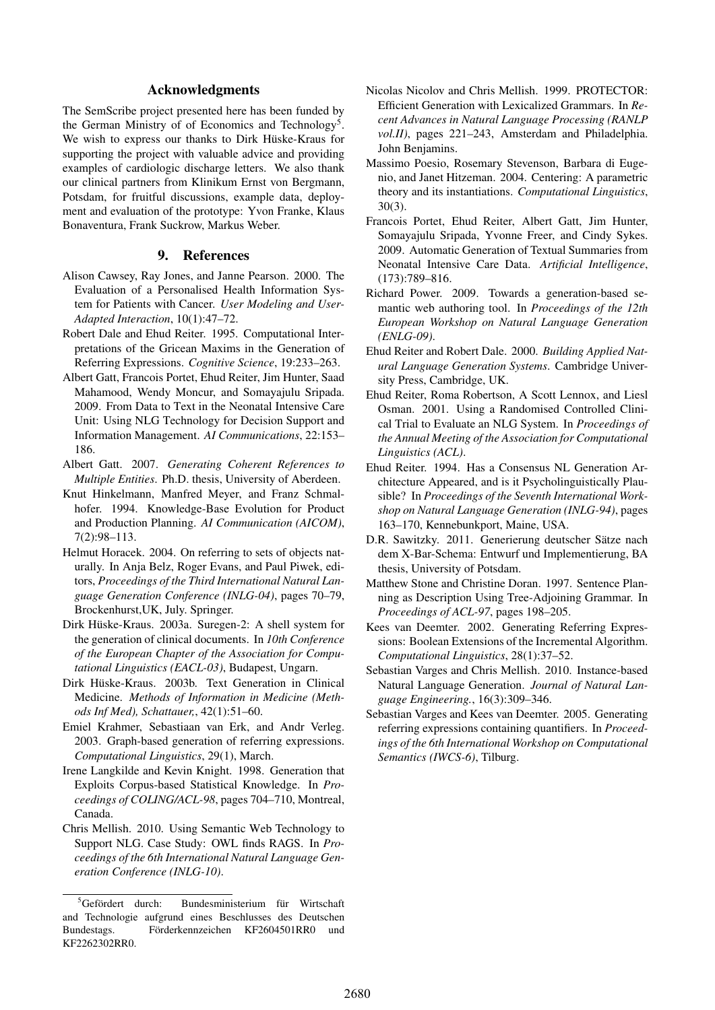## Acknowledgments

The SemScribe project presented here has been funded by the German Ministry of of Economics and Technology<sup>5</sup>. We wish to express our thanks to Dirk Hüske-Kraus for supporting the project with valuable advice and providing examples of cardiologic discharge letters. We also thank our clinical partners from Klinikum Ernst von Bergmann, Potsdam, for fruitful discussions, example data, deployment and evaluation of the prototype: Yvon Franke, Klaus Bonaventura, Frank Suckrow, Markus Weber.

## 9. References

- Alison Cawsey, Ray Jones, and Janne Pearson. 2000. The Evaluation of a Personalised Health Information System for Patients with Cancer. *User Modeling and User-Adapted Interaction*, 10(1):47–72.
- Robert Dale and Ehud Reiter. 1995. Computational Interpretations of the Gricean Maxims in the Generation of Referring Expressions. *Cognitive Science*, 19:233–263.
- Albert Gatt, Francois Portet, Ehud Reiter, Jim Hunter, Saad Mahamood, Wendy Moncur, and Somayajulu Sripada. 2009. From Data to Text in the Neonatal Intensive Care Unit: Using NLG Technology for Decision Support and Information Management. *AI Communications*, 22:153– 186.
- Albert Gatt. 2007. *Generating Coherent References to Multiple Entities*. Ph.D. thesis, University of Aberdeen.
- Knut Hinkelmann, Manfred Meyer, and Franz Schmalhofer. 1994. Knowledge-Base Evolution for Product and Production Planning. *AI Communication (AICOM)*, 7(2):98–113.
- Helmut Horacek. 2004. On referring to sets of objects naturally. In Anja Belz, Roger Evans, and Paul Piwek, editors, *Proceedings of the Third International Natural Language Generation Conference (INLG-04)*, pages 70–79, Brockenhurst,UK, July. Springer.
- Dirk Hüske-Kraus. 2003a. Suregen-2: A shell system for the generation of clinical documents. In *10th Conference of the European Chapter of the Association for Computational Linguistics (EACL-03)*, Budapest, Ungarn.
- Dirk Hüske-Kraus. 2003b. Text Generation in Clinical Medicine. *Methods of Information in Medicine (Methods Inf Med), Schattauer,*, 42(1):51–60.
- Emiel Krahmer, Sebastiaan van Erk, and Andr Verleg. 2003. Graph-based generation of referring expressions. *Computational Linguistics*, 29(1), March.
- Irene Langkilde and Kevin Knight. 1998. Generation that Exploits Corpus-based Statistical Knowledge. In *Proceedings of COLING/ACL-98*, pages 704–710, Montreal, Canada.
- Chris Mellish. 2010. Using Semantic Web Technology to Support NLG. Case Study: OWL finds RAGS. In *Proceedings of the 6th International Natural Language Generation Conference (INLG-10)*.
- Nicolas Nicolov and Chris Mellish. 1999. PROTECTOR: Efficient Generation with Lexicalized Grammars. In *Recent Advances in Natural Language Processing (RANLP vol.II)*, pages 221–243, Amsterdam and Philadelphia. John Benjamins.
- Massimo Poesio, Rosemary Stevenson, Barbara di Eugenio, and Janet Hitzeman. 2004. Centering: A parametric theory and its instantiations. *Computational Linguistics*, 30(3).
- Francois Portet, Ehud Reiter, Albert Gatt, Jim Hunter, Somayajulu Sripada, Yvonne Freer, and Cindy Sykes. 2009. Automatic Generation of Textual Summaries from Neonatal Intensive Care Data. *Artificial Intelligence*, (173):789–816.
- Richard Power. 2009. Towards a generation-based semantic web authoring tool. In *Proceedings of the 12th European Workshop on Natural Language Generation (ENLG-09)*.
- Ehud Reiter and Robert Dale. 2000. *Building Applied Natural Language Generation Systems*. Cambridge University Press, Cambridge, UK.
- Ehud Reiter, Roma Robertson, A Scott Lennox, and Liesl Osman. 2001. Using a Randomised Controlled Clinical Trial to Evaluate an NLG System. In *Proceedings of the Annual Meeting of the Association for Computational Linguistics (ACL)*.
- Ehud Reiter. 1994. Has a Consensus NL Generation Architecture Appeared, and is it Psycholinguistically Plausible? In *Proceedings of the Seventh International Workshop on Natural Language Generation (INLG-94)*, pages 163–170, Kennebunkport, Maine, USA.
- D.R. Sawitzky. 2011. Generierung deutscher Sätze nach dem X-Bar-Schema: Entwurf und Implementierung, BA thesis, University of Potsdam.
- Matthew Stone and Christine Doran. 1997. Sentence Planning as Description Using Tree-Adjoining Grammar. In *Proceedings of ACL-97*, pages 198–205.
- Kees van Deemter. 2002. Generating Referring Expressions: Boolean Extensions of the Incremental Algorithm. *Computational Linguistics*, 28(1):37–52.
- Sebastian Varges and Chris Mellish. 2010. Instance-based Natural Language Generation. *Journal of Natural Language Engineering.*, 16(3):309–346.
- Sebastian Varges and Kees van Deemter. 2005. Generating referring expressions containing quantifiers. In *Proceedings of the 6th International Workshop on Computational Semantics (IWCS-6)*, Tilburg.

 ${}^{5}$ Gefördert durch: Bundesministerium für Wirtschaft and Technologie aufgrund eines Beschlusses des Deutschen Bundestags. Förderkennzeichen KF2604501RR0 und KF2262302RR0.